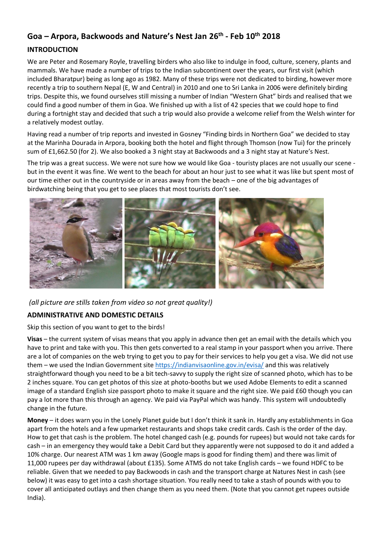# **Goa – Arpora, Backwoods and Nature's Nest Jan 26th - Feb 10th 2018**

### **INTRODUCTION**

We are Peter and Rosemary Royle, travelling birders who also like to indulge in food, culture, scenery, plants and mammals. We have made a number of trips to the Indian subcontinent over the years, our first visit (which included Bharatpur) being as long ago as 1982. Many of these trips were not dedicated to birding, however more recently a trip to southern Nepal (E, W and Central) in 2010 and one to Sri Lanka in 2006 were definitely birding trips. Despite this, we found ourselves still missing a number of Indian "Western Ghat" birds and realised that we could find a good number of them in Goa. We finished up with a list of 42 species that we could hope to find during a fortnight stay and decided that such a trip would also provide a welcome relief from the Welsh winter for a relatively modest outlay.

Having read a number of trip reports and invested in Gosney "Finding birds in Northern Goa" we decided to stay at the Marinha Dourada in Arpora, booking both the hotel and flight through Thomson (now Tui) for the princely sum of £1,662.50 (for 2). We also booked a 3 night stay at Backwoods and a 3 night stay at Nature's Nest.

The trip was a great success. We were not sure how we would like Goa - touristy places are not usually our scene but in the event it was fine. We went to the beach for about an hour just to see what it was like but spent most of our time either out in the countryside or in areas away from the beach – one of the big advantages of birdwatching being that you get to see places that most tourists don't see.



*(all picture are stills taken from video so not great quality!)*

# **ADMINISTRATIVE AND DOMESTIC DETAILS**

Skip this section of you want to get to the birds!

**Visas** – the current system of visas means that you apply in advance then get an email with the details which you have to print and take with you. This then gets converted to a real stamp in your passport when you arrive. There are a lot of companies on the web trying to get you to pay for their services to help you get a visa. We did not use them – we used the Indian Government sit[e https://indianvisaonline.gov.in/evisa/](https://indianvisaonline.gov.in/evisa/) and this was relatively straightforward though you need to be a bit tech-savvy to supply the right size of scanned photo, which has to be 2 inches square. You can get photos of this size at photo-booths but we used Adobe Elements to edit a scanned image of a standard English size passport photo to make it square and the right size. We paid £60 though you can pay a lot more than this through an agency. We paid via PayPal which was handy. This system will undoubtedly change in the future.

**Money** – it does warn you in the Lonely Planet guide but I don't think it sank in. Hardly any establishments in Goa apart from the hotels and a few upmarket restaurants and shops take credit cards. Cash is the order of the day. How to get that cash is the problem. The hotel changed cash (e.g. pounds for rupees) but would not take cards for cash – in an emergency they would take a Debit Card but they apparently were not supposed to do it and added a 10% charge. Our nearest ATM was 1 km away (Google maps is good for finding them) and there was limit of 11,000 rupees per day withdrawal (about £135). Some ATMS do not take English cards – we found HDFC to be reliable. Given that we needed to pay Backwoods in cash and the transport charge at Natures Nest in cash (see below) it was easy to get into a cash shortage situation. You really need to take a stash of pounds with you to cover all anticipated outlays and then change them as you need them. (Note that you cannot get rupees outside India).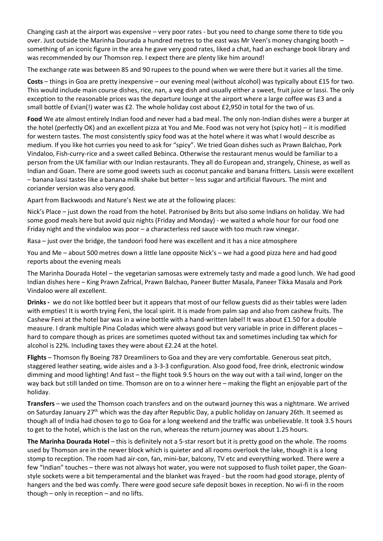Changing cash at the airport was expensive – very poor rates - but you need to change some there to tide you over. Just outside the Marinha Dourada a hundred metres to the east was Mr Veen's money changing booth – something of an iconic figure in the area he gave very good rates, liked a chat, had an exchange book library and was recommended by our Thomson rep. I expect there are plenty like him around!

The exchange rate was between 85 and 90 rupees to the pound when we were there but it varies all the time.

**Costs** – things in Goa are pretty inexpensive – our evening meal (without alcohol) was typically about £15 for two. This would include main course dishes, rice, nan, a veg dish and usually either a sweet, fruit juice or lassi. The only exception to the reasonable prices was the departure lounge at the airport where a large coffee was £3 and a small bottle of Evian(!) water was £2. The whole holiday cost about £2,950 in total for the two of us.

**Food** We ate almost entirely Indian food and never had a bad meal. The only non-Indian dishes were a burger at the hotel (perfectly OK) and an excellent pizza at You and Me. Food was not very hot (spicy hot) – it is modified for western tastes. The most consistently spicy food was at the hotel where it was what I would describe as medium. If you like hot curries you need to ask for "spicy". We tried Goan dishes such as Prawn Balchao, Pork Vindaloo, Fish-curry-rice and a sweet called Bebinca. Otherwise the restaurant menus would be familiar to a person from the UK familiar with our Indian restaurants. They all do European and, strangely, Chinese, as well as Indian and Goan. There are some good sweets such as coconut pancake and banana fritters. Lassis were excellent – banana lassi tastes like a banana milk shake but better – less sugar and artificial flavours. The mint and coriander version was also very good.

Apart from Backwoods and Nature's Nest we ate at the following places:

Nick's Place – just down the road from the hotel. Patronised by Brits but also some Indians on holiday. We had some good meals here but avoid quiz nights (Friday and Monday) - we waited a whole hour for our food one Friday night and the vindaloo was poor – a characterless red sauce with too much raw vinegar.

Rasa – just over the bridge, the tandoori food here was excellent and it has a nice atmosphere

You and Me – about 500 metres down a little lane opposite Nick's – we had a good pizza here and had good reports about the evening meals

The Marinha Dourada Hotel – the vegetarian samosas were extremely tasty and made a good lunch. We had good Indian dishes here – King Prawn Zafrical, Prawn Balchao, Paneer Butter Masala, Paneer Tikka Masala and Pork Vindaloo were all excellent.

**Drinks -** we do not like bottled beer but it appears that most of our fellow guests did as their tables were laden with empties! It is worth trying Feni, the local spirit. It is made from palm sap and also from cashew fruits. The Cashew Feni at the hotel bar was in a wine bottle with a hand-written label! It was about £1.50 for a double measure. I drank multiple Pina Coladas which were always good but very variable in price in different places – hard to compare though as prices are sometimes quoted without tax and sometimes including tax which for alcohol is 22%. Including taxes they were about £2.24 at the hotel.

**Flights** – Thomson fly Boeing 787 Dreamliners to Goa and they are very comfortable. Generous seat pitch, staggered leather seating, wide aisles and a 3-3-3 configuration. Also good food, free drink, electronic window dimming and mood lighting! And fast – the flight took 9.5 hours on the way out with a tail wind, longer on the way back but still landed on time. Thomson are on to a winner here – making the flight an enjoyable part of the holiday.

**Transfers** – we used the Thomson coach transfers and on the outward journey this was a nightmare. We arrived on Saturday January 27<sup>th</sup> which was the day after Republic Day, a public holiday on January 26th. It seemed as though all of India had chosen to go to Goa for a long weekend and the traffic was unbelievable. It took 3.5 hours to get to the hotel, which is the last on the run, whereas the return journey was about 1.25 hours.

**The Marinha Dourada Hotel** – this is definitely not a 5-star resort but it is pretty good on the whole. The rooms used by Thomson are in the newer block which is quieter and all rooms overlook the lake, though it is a long stomp to reception. The room had air-con, fan, mini-bar, balcony, TV etc and everything worked. There were a few "Indian" touches – there was not always hot water, you were not supposed to flush toilet paper, the Goanstyle sockets were a bit temperamental and the blanket was frayed - but the room had good storage, plenty of hangers and the bed was comfy. There were good secure safe deposit boxes in reception. No wi-fi in the room though – only in reception – and no lifts.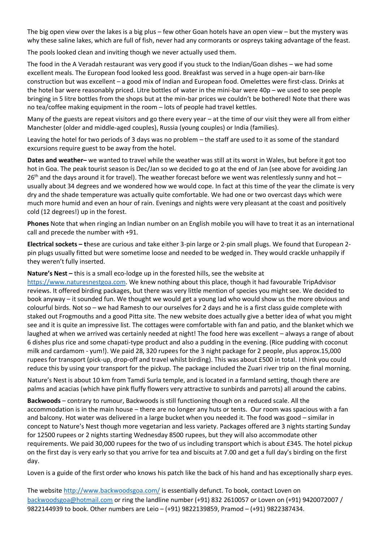The big open view over the lakes is a big plus – few other Goan hotels have an open view – but the mystery was why these saline lakes, which are full of fish, never had any cormorants or ospreys taking advantage of the feast.

The pools looked clean and inviting though we never actually used them.

The food in the A Veradah restaurant was very good if you stuck to the Indian/Goan dishes – we had some excellent meals. The European food looked less good. Breakfast was served in a huge open-air barn-like construction but was excellent – a good mix of Indian and European food. Omelettes were first-class. Drinks at the hotel bar were reasonably priced. Litre bottles of water in the mini-bar were 40p – we used to see people bringing in 5 litre bottles from the shops but at the min-bar prices we couldn't be bothered! Note that there was no tea/coffee making equipment in the room – lots of people had travel kettles.

Many of the guests are repeat visitors and go there every year – at the time of our visit they were all from either Manchester (older and middle-aged couples), Russia (young couples) or India (families).

Leaving the hotel for two periods of 3 days was no problem – the staff are used to it as some of the standard excursions require guest to be away from the hotel.

**Dates and weather–** we wanted to travel while the weather was still at its worst in Wales, but before it got too hot in Goa. The peak tourist season is Dec/Jan so we decided to go at the end of Jan (see above for avoiding Jan  $26<sup>th</sup>$  and the days around it for travel). The weather forecast before we went was relentlessly sunny and hot – usually about 34 degrees and we wondered how we would cope. In fact at this time of the year the climate is very dry and the shade temperature was actually quite comfortable. We had one or two overcast days which were much more humid and even an hour of rain. Evenings and nights were very pleasant at the coast and positively cold (12 degrees!) up in the forest.

**Phones** Note that when ringing an Indian number on an English mobile you will have to treat it as an international call and precede the number with +91.

**Electrical sockets – t**hese are curious and take either 3-pin large or 2-pin small plugs. We found that European 2 pin plugs usually fitted but were sometime loose and needed to be wedged in. They would crackle unhappily if they weren't fully inserted.

**Nature's Nest –** this is a small eco-lodge up in the forested hills, see the website at

[https://www.naturesnestgoa.com.](https://www.naturesnestgoa.com/) We knew nothing about this place, though it had favourable TripAdvisor reviews. It offered birding packages, but there was very little mention of species you might see. We decided to book anyway – it sounded fun. We thought we would get a young lad who would show us the more obvious and colourful birds. Not so – we had Ramesh to our ourselves for 2 days and he is a first class guide complete with staked out Frogmouths and a good Pitta site. The new website does actually give a better idea of what you might see and it is quite an impressive list. The cottages were comfortable with fan and patio, and the blanket which we laughed at when we arrived was certainly needed at night! The food here was excellent – always a range of about 6 dishes plus rice and some chapati-type product and also a pudding in the evening. (Rice pudding with coconut milk and cardamom - yum!). We paid 28, 320 rupees for the 3 night package for 2 people, plus approx.15,000 rupees for transport (pick-up, drop-off and travel whilst birding). This was about £500 in total. I think you could reduce this by using your transport for the pickup. The package included the Zuari river trip on the final morning.

Nature's Nest is about 10 km from Tamdi Surla temple, and is located in a farmland setting, though there are palms and acacias (which have pink fluffy flowers very attractive to sunbirds and parrots) all around the cabins.

**Backwoods** – contrary to rumour, Backwoods is still functioning though on a reduced scale. All the accommodation is in the main house – there are no longer any huts or tents. Our room was spacious with a fan and balcony. Hot water was delivered in a large bucket when you needed it. The food was good – similar in concept to Nature's Nest though more vegetarian and less variety. Packages offered are 3 nights starting Sunday for 12500 rupees or 2 nights starting Wednesday 8500 rupees, but they will also accommodate other requirements. We paid 30,000 rupees for the two of us including transport which is about £345. The hotel pickup on the first day is very early so that you arrive for tea and biscuits at 7.00 and get a full day's birding on the first day.

Loven is a guide of the first order who knows his patch like the back of his hand and has exceptionally sharp eyes.

The website<http://www.backwoodsgoa.com/> is essentially defunct. To book, contact Loven on [backwoodsgoa@hotmail.com](mailto:backwoodsgoa@hotmail.com) or ring the landline number (+91) 832 2610057 or Loven on (+91) 9420072007 / 9822144939 to book. Other numbers are Leio – [\(+91\) 9822139859,](tel:+91%2098221%2039859) Pramod – [\(+91\) 9822387434.](tel:+91%2098223%2087434)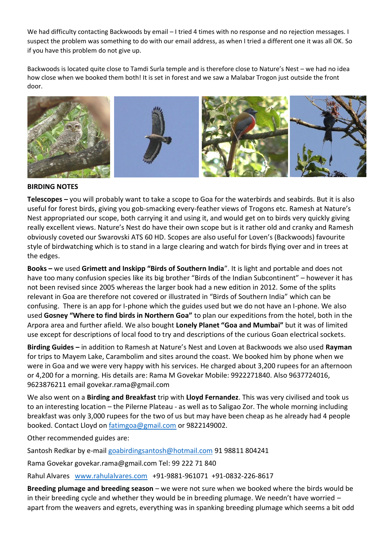We had difficulty contacting Backwoods by email – I tried 4 times with no response and no rejection messages. I suspect the problem was something to do with our email address, as when I tried a different one it was all OK. So if you have this problem do not give up.

Backwoods is located quite close to Tamdi Surla temple and is therefore close to Nature's Nest – we had no idea how close when we booked them both! It is set in forest and we saw a Malabar Trogon just outside the front door.



### **BIRDING NOTES**

**Telescopes –** you will probably want to take a scope to Goa for the waterbirds and seabirds. But it is also useful for forest birds, giving you gob-smacking every-feather views of Trogons etc. Ramesh at Nature's Nest appropriated our scope, both carrying it and using it, and would get on to birds very quickly giving really excellent views. Nature's Nest do have their own scope but is it rather old and cranky and Ramesh obviously coveted our Swarovski ATS 60 HD. Scopes are also useful for Loven's (Backwoods) favourite style of birdwatching which is to stand in a large clearing and watch for birds flying over and in trees at the edges.

**Books –** we used **Grimett and Inskipp "Birds of Southern India**". It is light and portable and does not have too many confusion species like its big brother "Birds of the Indian Subcontinent" – however it has not been revised since 2005 whereas the larger book had a new edition in 2012. Some of the splits relevant in Goa are therefore not covered or illustrated in "Birds of Southern India" which can be confusing. There is an app for I-phone which the guides used but we do not have an I-phone. We also used **Gosney "Where to find birds in Northern Goa"** to plan our expeditions from the hotel, both in the Arpora area and further afield. We also bought **Lonely Planet "Goa and Mumbai"** but it was of limited use except for descriptions of local food to try and descriptions of the curious Goan electrical sockets.

**Birding Guides –** in addition to Ramesh at Nature's Nest and Loven at Backwoods we also used **Rayman** for trips to Mayem Lake, Carambolim and sites around the coast. We booked him by phone when we were in Goa and we were very happy with his services. He charged about 3,200 rupees for an afternoon or 4,200 for a morning. His details are: Rama M Govekar Mobile: 9922271840. Also 9637724016, 9623876211 email govekar.rama@gmail.com

We also went on a **Birding and Breakfast** trip with **Lloyd Fernandez**. This was very civilised and took us to an interesting location – the Pilerne Plateau - as well as to Saligao Zor. The whole morning including breakfast was only 3,000 rupees for the two of us but may have been cheap as he already had 4 people booked. Contact Lloyd on [fatimgoa@gmail.com](mailto:fatimgoa@gmail.com) or 9822149002.

Other recommended guides are:

Santosh Redkar by e-mail [goabirdingsantosh@hotmail.com](mailto:goabirdingsantosh@hotmail.com) 91 98811 804241

Rama Govekar govekar.rama@gmail.com Tel: 99 222 71 840

Rahul Alvares [www.rahulalvares.com](http://www.rahulalvares.com/) +91-9881-961071 +91-0832-226-8617

**Breeding plumage and breeding season** – we were not sure when we booked where the birds would be in their breeding cycle and whether they would be in breeding plumage. We needn't have worried – apart from the weavers and egrets, everything was in spanking breeding plumage which seems a bit odd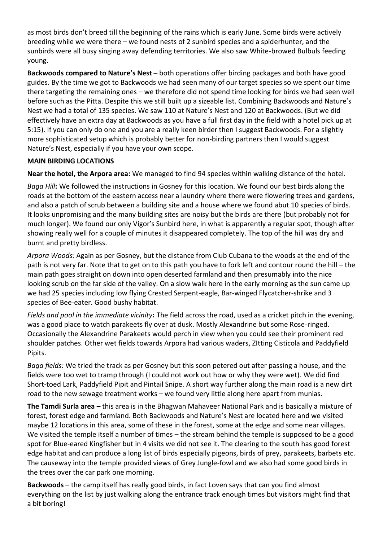as most birds don't breed till the beginning of the rains which is early June. Some birds were actively breeding while we were there – we found nests of 2 sunbird species and a spiderhunter, and the sunbirds were all busy singing away defending territories. We also saw White-browed Bulbuls feeding young.

**Backwoods compared to Nature's Nest –** both operations offer birding packages and both have good guides. By the time we got to Backwoods we had seen many of our target species so we spent our time there targeting the remaining ones – we therefore did not spend time looking for birds we had seen well before such as the Pitta. Despite this we still built up a sizeable list. Combining Backwoods and Nature's Nest we had a total of 135 species. We saw 110 at Nature's Nest and 120 at Backwoods. (But we did effectively have an extra day at Backwoods as you have a full first day in the field with a hotel pick up at 5:15). If you can only do one and you are a really keen birder then I suggest Backwoods. For a slightly more sophisticated setup which is probably better for non-birding partners then I would suggest Nature's Nest, especially if you have your own scope.

# **MAIN BIRDING LOCATIONS**

**Near the hotel, the Arpora area:** We managed to find 94 species within walking distance of the hotel.

*Baga Hill***:** We followed the instructions in Gosney for this location. We found our best birds along the roads at the bottom of the eastern access near a laundry where there were flowering trees and gardens, and also a patch of scrub between a building site and a house where we found abut 10 species of birds. It looks unpromising and the many building sites are noisy but the birds are there (but probably not for much longer). We found our only Vigor's Sunbird here, in what is apparently a regular spot, though after showing really well for a couple of minutes it disappeared completely. The top of the hill was dry and burnt and pretty birdless.

*Arpora Woods:* Again as per Gosney, but the distance from Club Cubana to the woods at the end of the path is not very far. Note that to get on to this path you have to fork left and contour round the hill – the main path goes straight on down into open deserted farmland and then presumably into the nice looking scrub on the far side of the valley. On a slow walk here in the early morning as the sun came up we had 25 species including low flying Crested Serpent-eagle, Bar-winged Flycatcher-shrike and 3 species of Bee-eater. Good bushy habitat.

*Fields and pool in the immediate vicinity***:** The field across the road, used as a cricket pitch in the evening, was a good place to watch parakeets fly over at dusk. Mostly Alexandrine but some Rose-ringed. Occasionally the Alexandrine Parakeets would perch in view when you could see their prominent red shoulder patches. Other wet fields towards Arpora had various waders, ZItting Cisticola and Paddyfield Pipits.

*Baga fields:* We tried the track as per Gosney but this soon petered out after passing a house, and the fields were too wet to tramp through (I could not work out how or why they were wet). We did find Short-toed Lark, Paddyfield Pipit and Pintail Snipe. A short way further along the main road is a new dirt road to the new sewage treatment works – we found very little along here apart from munias.

**The Tamdi Surla area –** this area is in the Bhagwan Mahaveer National Park and is basically a mixture of forest, forest edge and farmland. Both Backwoods and Nature's Nest are located here and we visited maybe 12 locations in this area, some of these in the forest, some at the edge and some near villages. We visited the temple itself a number of times – the stream behind the temple is supposed to be a good spot for Blue-eared Kingfisher but in 4 visits we did not see it. The clearing to the south has good forest edge habitat and can produce a long list of birds especially pigeons, birds of prey, parakeets, barbets etc. The causeway into the temple provided views of Grey Jungle-fowl and we also had some good birds in the trees over the car park one morning.

**Backwoods** – the camp itself has really good birds, in fact Loven says that can you find almost everything on the list by just walking along the entrance track enough times but visitors might find that a bit boring!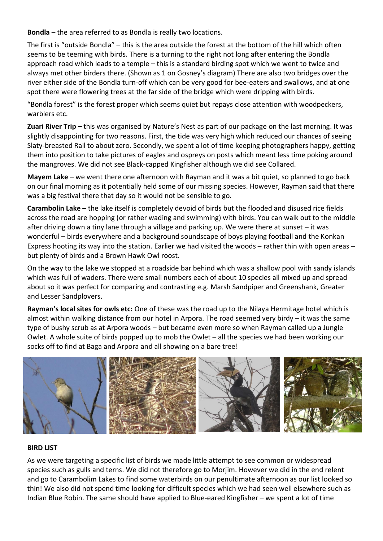**Bondla** – the area referred to as Bondla is really two locations.

The first is "outside Bondla" – this is the area outside the forest at the bottom of the hill which often seems to be teeming with birds. There is a turning to the right not long after entering the Bondla approach road which leads to a temple – this is a standard birding spot which we went to twice and always met other birders there. (Shown as 1 on Gosney's diagram) There are also two bridges over the river either side of the Bondla turn-off which can be very good for bee-eaters and swallows, and at one spot there were flowering trees at the far side of the bridge which were dripping with birds.

"Bondla forest" is the forest proper which seems quiet but repays close attention with woodpeckers, warblers etc.

**Zuari River Trip –** this was organised by Nature's Nest as part of our package on the last morning. It was slightly disappointing for two reasons. First, the tide was very high which reduced our chances of seeing Slaty-breasted Rail to about zero. Secondly, we spent a lot of time keeping photographers happy, getting them into position to take pictures of eagles and ospreys on posts which meant less time poking around the mangroves. We did not see Black-capped Kingfisher although we did see Collared.

**Mayem Lake –** we went there one afternoon with Rayman and it was a bit quiet, so planned to go back on our final morning as it potentially held some of our missing species. However, Rayman said that there was a big festival there that day so it would not be sensible to go.

**Carambolin Lake –** the lake itself is completely devoid of birds but the flooded and disused rice fields across the road are hopping (or rather wading and swimming) with birds. You can walk out to the middle after driving down a tiny lane through a village and parking up. We were there at sunset – it was wonderful – birds everywhere and a background soundscape of boys playing football and the Konkan Express hooting its way into the station. Earlier we had visited the woods – rather thin with open areas – but plenty of birds and a Brown Hawk Owl roost.

On the way to the lake we stopped at a roadside bar behind which was a shallow pool with sandy islands which was full of waders. There were small numbers each of about 10 species all mixed up and spread about so it was perfect for comparing and contrasting e.g. Marsh Sandpiper and Greenshank, Greater and Lesser Sandplovers.

**Rayman's local sites for owls etc:** One of these was the road up to the Nilaya Hermitage hotel which is almost within walking distance from our hotel in Arpora. The road seemed very birdy – it was the same type of bushy scrub as at Arpora woods – but became even more so when Rayman called up a Jungle Owlet. A whole suite of birds popped up to mob the Owlet – all the species we had been working our socks off to find at Baga and Arpora and all showing on a bare tree!



### **BIRD LIST**

As we were targeting a specific list of birds we made little attempt to see common or widespread species such as gulls and terns. We did not therefore go to Morjim. However we did in the end relent and go to Carambolim Lakes to find some waterbirds on our penultimate afternoon as our list looked so thin! We also did not spend time looking for difficult species which we had seen well elsewhere such as Indian Blue Robin. The same should have applied to Blue-eared Kingfisher – we spent a lot of time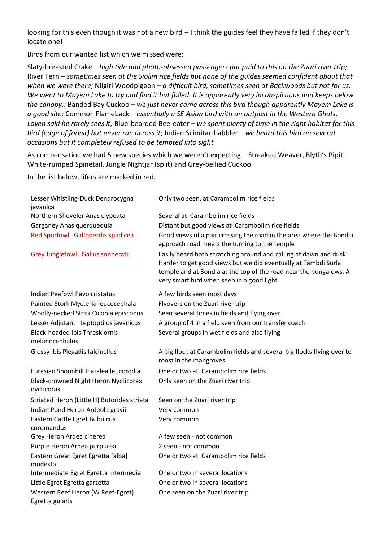looking for this even though it was not a new bird – I think the guides feel they have failed if they don't locate one!

Birds from our wanted list which we missed were:

Slaty-breasted Crake – *high tide and photo-obsessed passengers put paid to this on the Zuari river trip;*  River Tern – *sometimes seen at the Siolim rice fields but none of the guides seemed confident about that when we were there;* Nilgiri Woodpigeon *– a difficult bird, sometimes seen at Backwoods but not for us. We went to Mayem Lake to try and find it but failed. It is apparently very inconspicuous and keeps below the canopy.;* Banded Bay Cuckoo – *we just never came across this bird though apparently Mayem Lake is a good site;* Common Flameback – *essentially a SE Asian bird with an outpost in the Western Ghats, Loven said he rarely sees it;* Blue-bearded Bee-eater – *we spent plenty of time in the right habitat for this bird (edge of forest) but never ran across it*; Indian Scimitar-babbler *– we heard this bird on several occasions but it completely refused to be tempted into sight*

As compensation we had 5 new species which we weren't expecting – Streaked Weaver, Blyth's Pipit, White-rumped Spinetail, Jungle Nightjar (split) and Grey-bellied Cuckoo.

In the list below, lifers are marked in red.

| Lesser Whistling-Duck Dendrocygna<br>javanica             | Only two seen, at Carambolim rice fields                                                                                                                                                                                                               |
|-----------------------------------------------------------|--------------------------------------------------------------------------------------------------------------------------------------------------------------------------------------------------------------------------------------------------------|
| Northern Shoveler Anas clypeata                           | Several at Carambolim rice fields                                                                                                                                                                                                                      |
| Garganey Anas querquedula                                 | Distant but good views at Carambolim rice fields                                                                                                                                                                                                       |
| Red Spurfowl Galloperdix spadicea                         | Good views of a pair crossing the road in the area where the Bondla<br>approach road meets the turning to the temple                                                                                                                                   |
| Grey Junglefowl Gallus sonneratii                         | Easily heard both scratching around and calling at dawn and dusk.<br>Harder to get good views but we did eventually at Tambdi Surla<br>temple and at Bondla at the top of the road near the bungalows. A<br>very smart bird when seen in a good light. |
| <b>Indian Peafowl Pavo cristatus</b>                      | A few birds seen most days                                                                                                                                                                                                                             |
| Painted Stork Mycteria leucocephala                       | Flyovers on the Zuari river trip                                                                                                                                                                                                                       |
| Woolly-necked Stork Ciconia episcopus                     | Seen several times in fields and flying over                                                                                                                                                                                                           |
| Lesser Adjutant Leptoptilos javanicus                     | A group of 4 in a field seen from our transfer coach                                                                                                                                                                                                   |
| <b>Black-headed Ibis Threskiornis</b><br>melanocephalus   | Several groups in wet fields and also flying                                                                                                                                                                                                           |
| Glossy Ibis Plegadis falcinellus                          | A big flock at Carambolim fields and several big flocks flying over to<br>roost in the mangroves                                                                                                                                                       |
| Eurasian Spoonbill Platalea leucorodia                    | One or two at Carambolim rice fields                                                                                                                                                                                                                   |
| <b>Black-crowned Night Heron Nycticorax</b><br>nycticorax | Only seen on the Zuari river trip                                                                                                                                                                                                                      |
| Striated Heron (Little H) Butorides striata               | Seen on the Zuari river trip                                                                                                                                                                                                                           |
| Indian Pond Heron Ardeola grayii                          | Very common                                                                                                                                                                                                                                            |
| Eastern Cattle Egret Bubulcus<br>coromandus               | Very common                                                                                                                                                                                                                                            |
| Grey Heron Ardea cinerea                                  | A few seen - not common                                                                                                                                                                                                                                |
| Purple Heron Ardea purpurea                               | 2 seen - not common                                                                                                                                                                                                                                    |
| Eastern Great Egret Egretta [alba]<br>modesta             | One or two at Carambolim rice fields                                                                                                                                                                                                                   |
| Intermediate Egret Egretta intermedia                     | One or two in several locations                                                                                                                                                                                                                        |
| Little Egret Egretta garzetta                             | One or two in several locations                                                                                                                                                                                                                        |
| Western Reef Heron (W Reef-Egret)<br>Egretta gularis      | One seen on the Zuari river trip                                                                                                                                                                                                                       |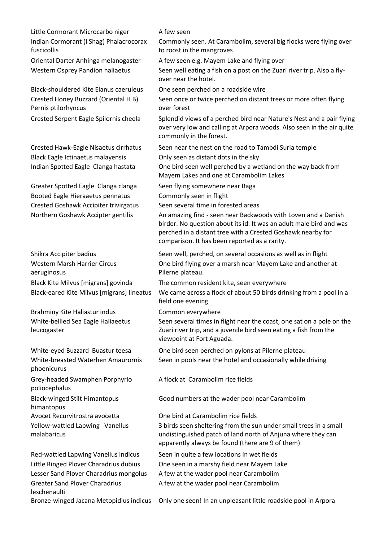Little Cormorant Microcarbo niger A few seen Indian Cormorant (I Shag) Phalacrocorax fuscicollis

Black-shouldered Kite Elanus caeruleus One seen perched on a roadside wire Crested Honey Buzzard (Oriental H B) Pernis ptilorhyncus

Black Eagle Ictinaetus malayensis Only seen as distant dots in the sky

Greater Spotted Eagle Clanga clanga Seen flying somewhere near Baga Booted Eagle Hieraaetus pennatus Commonly seen in flight Crested Goshawk Accipiter trivirgatus Seen several time in forested areas

Western Marsh Harrier Circus aeruginosus

Brahminy Kite Haliastur indus Common everywhere White-bellied Sea Eagle Haliaeetus leucogaster

White-breasted Waterhen Amaurornis phoenicurus

Grey-headed Swamphen Porphyrio poliocephalus

Black-winged Stilt Himantopus

himantopus

Yellow-wattled Lapwing Vanellus malabaricus

Greater Sand Plover Charadrius leschenaulti

Commonly seen. At Carambolim, several big flocks were flying over to roost in the mangroves

Oriental Darter Anhinga melanogaster A few seen e.g. Mayem Lake and flying over Western Osprey Pandion haliaetus Seen well eating a fish on a post on the Zuari river trip. Also a flyover near the hotel.

Seen once or twice perched on distant trees or more often flying over forest

Crested Serpent Eagle Spilornis cheela Splendid views of a perched bird near Nature's Nest and a pair flying over very low and calling at Arpora woods. Also seen in the air quite commonly in the forest.

Crested Hawk-Eagle Nisaetus cirrhatus Seen near the nest on the road to Tambdi Surla temple

Indian Spotted Eagle Clanga hastata One bird seen well perched by a wetland on the way back from Mayem Lakes and one at Carambolim Lakes

Northern Goshawk Accipter gentilis An amazing find - seen near Backwoods with Loven and a Danish birder. No question about its id. It was an adult male bird and was perched in a distant tree with a Crested Goshawk nearby for comparison. It has been reported as a rarity.

Shikra Accipiter badius Seen well, perched, on several occasions as well as in flight One bird flying over a marsh near Mayem Lake and another at Pilerne plateau.

Black Kite Milvus [migrans] govinda The common resident kite, seen everywhere

Black-eared Kite Milvus [migrans] lineatus We came across a flock of about 50 birds drinking from a pool in a field one evening

Seen several times in flight near the coast, one sat on a pole on the Zuari river trip, and a juvenile bird seen eating a fish from the viewpoint at Fort Aguada.

White-eyed Buzzard Buastur teesa **One bird seen perched on pylons at Pilerne plateau** Seen in pools near the hotel and occasionally while driving

A flock at Carambolim rice fields

Good numbers at the wader pool near Carambolim

Avocet Recurvitrostra avocetta One bird at Carambolim rice fields 3 birds seen sheltering from the sun under small trees in a small undistinguished patch of land north of Anjuna where they can apparently always be found (there are 9 of them)

Red-wattled Lapwing Vanellus indicus Seen in quite a few locations in wet fields Little Ringed Plover Charadrius dubius One seen in a marshy field near Mayem Lake Lesser Sand Plover Charadrius mongolus A few at the wader pool near Carambolim A few at the wader pool near Carambolim

Bronze-winged Jacana Metopidius indicus Only one seen! In an unpleasant little roadside pool in Arpora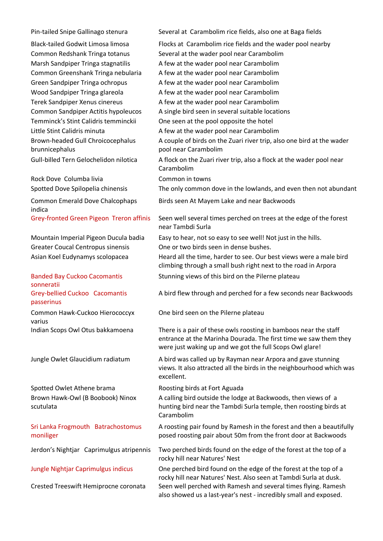Brown-headed Gull Chroicocephalus brunnicephalus

Rock Dove Columba livia Common in towns

Common Emerald Dove Chalcophaps indica

Banded Bay Cuckoo Cacomantis sonneratii Grey-bellied Cuckoo Cacomantis passerinus

Common Hawk-Cuckoo Hierococcyx varius

Spotted Owlet Athene brama Roosting birds at Fort Aguada Brown Hawk-Owl (B Boobook) Ninox scutulata

Sri Lanka Frogmouth Batrachostomus moniliger

Pin-tailed Snipe Gallinago stenura Several at Carambolim rice fields, also one at Baga fields Black-tailed Godwit Limosa limosa Flocks at Carambolim rice fields and the wader pool nearby Common Redshank Tringa totanus Several at the wader pool near Carambolim Marsh Sandpiper Tringa stagnatilis A few at the wader pool near Carambolim Common Greenshank Tringa nebularia A few at the wader pool near Carambolim Green Sandpiper Tringa ochropus A few at the wader pool near Carambolim Wood Sandpiper Tringa glareola A few at the wader pool near Carambolim Terek Sandpiper Xenus cinereus A few at the wader pool near Carambolim Common Sandpiper Actitis hypoleucos A single bird seen in several suitable locations Temminck's Stint Calidris temminckii One seen at the pool opposite the hotel Little Stint Calidris minuta A few at the wader pool near Carambolim A couple of birds on the Zuari river trip, also one bird at the wader pool near Carambolim Gull-billed Tern Gelochelidon nilotica A flock on the Zuari river trip, also a flock at the wader pool near Carambolim Spotted Dove Spilopelia chinensis The only common dove in the lowlands, and even then not abundant Birds seen At Mayem Lake and near Backwoods Grey-fronted Green Pigeon Treron affinis Seen well several times perched on trees at the edge of the forest near Tambdi Surla Mountain Imperial Pigeon Ducula badia Easy to hear, not so easy to see well! Not just in the hills. Greater Coucal Centropus sinensis One or two birds seen in dense bushes. Asian Koel Eudynamys scolopacea Heard all the time, harder to see. Our best views were a male bird climbing through a small bush right next to the road in Arpora Stunning views of this bird on the Pilerne plateau A bird flew through and perched for a few seconds near Backwoods One bird seen on the Pilerne plateau Indian Scops Owl Otus bakkamoena There is a pair of these owls roosting in bamboos near the staff entrance at the Marinha Dourada. The first time we saw them they were just waking up and we got the full Scops Owl glare! Jungle Owlet Glaucidium radiatum A bird was called up by Rayman near Arpora and gave stunning views. It also attracted all the birds in the neighbourhood which was excellent. A calling bird outside the lodge at Backwoods, then views of a hunting bird near the Tambdi Surla temple, then roosting birds at Carambolim A roosting pair found by Ramesh in the forest and then a beautifully posed roosting pair about 50m from the front door at Backwoods Jerdon's Nightjar Caprimulgus atripennis Two perched birds found on the edge of the forest at the top of a

rocky hill near Natures' Nest Jungle Nightjar Caprimulgus indicus One perched bird found on the edge of the forest at the top of a rocky hill near Natures' Nest. Also seen at Tambdi Surla at dusk. Crested Treeswift Hemiprocne coronata Seen well perched with Ramesh and several times flying. Ramesh also showed us a last-year's nest - incredibly small and exposed.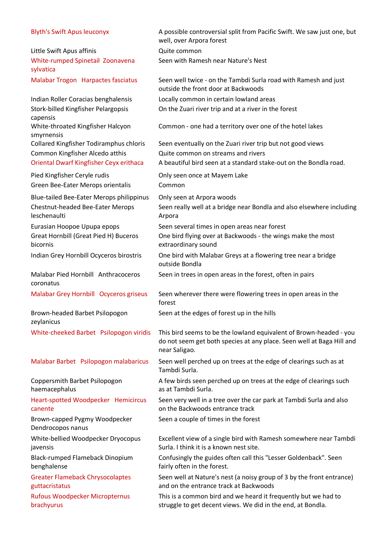| <b>Blyth's Swift Apus leuconyx</b>                          | A possible controversial split from Pacific Swift. We saw just one, but<br>well, over Arpora forest                                                          |
|-------------------------------------------------------------|--------------------------------------------------------------------------------------------------------------------------------------------------------------|
| Little Swift Apus affinis                                   | Quite common                                                                                                                                                 |
| White-rumped Spinetail Zoonavena<br>sylvatica               | Seen with Ramesh near Nature's Nest                                                                                                                          |
| Malabar Trogon Harpactes fasciatus                          | Seen well twice - on the Tambdi Surla road with Ramesh and just<br>outside the front door at Backwoods                                                       |
| Indian Roller Coracias benghalensis                         | Locally common in certain lowland areas                                                                                                                      |
| Stork-billed Kingfisher Pelargopsis                         | On the Zuari river trip and at a river in the forest                                                                                                         |
| capensis<br>White-throated Kingfisher Halcyon<br>smyrnensis | Common - one had a territory over one of the hotel lakes                                                                                                     |
| <b>Collared Kingfisher Todiramphus chloris</b>              | Seen eventually on the Zuari river trip but not good views                                                                                                   |
| Common Kingfisher Alcedo atthis                             | Quite common on streams and rivers                                                                                                                           |
| <b>Oriental Dwarf Kingfisher Ceyx erithaca</b>              | A beautiful bird seen at a standard stake-out on the Bondla road.                                                                                            |
| Pied Kingfisher Ceryle rudis                                | Only seen once at Mayem Lake                                                                                                                                 |
| Green Bee-Eater Merops orientalis                           | Common                                                                                                                                                       |
| Blue-tailed Bee-Eater Merops philippinus                    | Only seen at Arpora woods                                                                                                                                    |
| <b>Chestnut-headed Bee-Eater Merops</b><br>leschenaulti     | Seen really well at a bridge near Bondla and also elsewhere including<br>Arpora                                                                              |
| Eurasian Hoopoe Upupa epops                                 | Seen several times in open areas near forest                                                                                                                 |
| Great Hornbill (Great Pied H) Buceros<br>bicornis           | One bird flying over at Backwoods - the wings make the most<br>extraordinary sound                                                                           |
| Indian Grey Hornbill Ocyceros birostris                     | One bird with Malabar Greys at a flowering tree near a bridge<br>outside Bondla                                                                              |
| Malabar Pied Hornbill Anthracoceros<br>coronatus            | Seen in trees in open areas in the forest, often in pairs                                                                                                    |
| Malabar Grey Hornbill Ocyceros griseus                      | Seen wherever there were flowering trees in open areas in the<br>forest                                                                                      |
| Brown-headed Barbet Psilopogon<br>zeylanicus                | Seen at the edges of forest up in the hills                                                                                                                  |
| White-cheeked Barbet Psilopogon viridis                     | This bird seems to be the lowland equivalent of Brown-headed - you<br>do not seem get both species at any place. Seen well at Baga Hill and<br>near Saligao. |
| Malabar Barbet Psilopogon malabaricus                       | Seen well perched up on trees at the edge of clearings such as at<br>Tambdi Surla.                                                                           |
| Coppersmith Barbet Psilopogon<br>haemacephalus              | A few birds seen perched up on trees at the edge of clearings such<br>as at Tambdi Surla.                                                                    |
| Heart-spotted Woodpecker Hemicircus<br>canente              | Seen very well in a tree over the car park at Tambdi Surla and also<br>on the Backwoods entrance track                                                       |
| Brown-capped Pygmy Woodpecker<br>Dendrocopos nanus          | Seen a couple of times in the forest                                                                                                                         |
| White-bellied Woodpecker Dryocopus<br>javensis              | Excellent view of a single bird with Ramesh somewhere near Tambdi<br>Surla. I think it is a known nest site.                                                 |
| Black-rumped Flameback Dinopium<br>benghalense              | Confusingly the guides often call this "Lesser Goldenback". Seen<br>fairly often in the forest.                                                              |
| <b>Greater Flameback Chrysocolaptes</b><br>guttacristatus   | Seen well at Nature's nest (a noisy group of 3 by the front entrance)<br>and on the entrance track at Backwoods                                              |
| <b>Rufous Woodpecker Micropternus</b><br>brachyurus         | This is a common bird and we heard it frequently but we had to<br>struggle to get decent views. We did in the end, at Bondla.                                |
|                                                             |                                                                                                                                                              |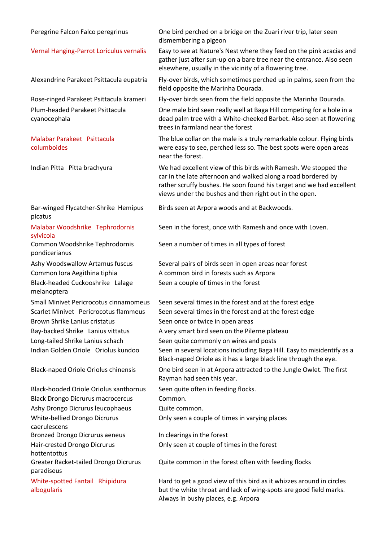| Peregrine Falcon Falco peregrinus                   | One bird perched on a bridge on the Zuari river trip, later seen<br>dismembering a pigeon                                                                                                                                                                          |
|-----------------------------------------------------|--------------------------------------------------------------------------------------------------------------------------------------------------------------------------------------------------------------------------------------------------------------------|
| Vernal Hanging-Parrot Loriculus vernalis            | Easy to see at Nature's Nest where they feed on the pink acacias and<br>gather just after sun-up on a bare tree near the entrance. Also seen<br>elsewhere, usually in the vicinity of a flowering tree.                                                            |
| Alexandrine Parakeet Psittacula eupatria            | Fly-over birds, which sometimes perched up in palms, seen from the<br>field opposite the Marinha Dourada.                                                                                                                                                          |
| Rose-ringed Parakeet Psittacula krameri             | Fly-over birds seen from the field opposite the Marinha Dourada.                                                                                                                                                                                                   |
| Plum-headed Parakeet Psittacula<br>cyanocephala     | One male bird seen really well at Baga Hill competing for a hole in a<br>dead palm tree with a White-cheeked Barbet. Also seen at flowering<br>trees in farmland near the forest                                                                                   |
| Malabar Parakeet Psittacula<br>columboides          | The blue collar on the male is a truly remarkable colour. Flying birds<br>were easy to see, perched less so. The best spots were open areas<br>near the forest.                                                                                                    |
| Indian Pitta Pitta brachyura                        | We had excellent view of this birds with Ramesh. We stopped the<br>car in the late afternoon and walked along a road bordered by<br>rather scruffy bushes. He soon found his target and we had excellent<br>views under the bushes and then right out in the open. |
| Bar-winged Flycatcher-Shrike Hemipus<br>picatus     | Birds seen at Arpora woods and at Backwoods.                                                                                                                                                                                                                       |
| Malabar Woodshrike Tephrodornis<br>sylvicola        | Seen in the forest, once with Ramesh and once with Loven.                                                                                                                                                                                                          |
| Common Woodshrike Tephrodornis<br>pondicerianus     | Seen a number of times in all types of forest                                                                                                                                                                                                                      |
| Ashy Woodswallow Artamus fuscus                     | Several pairs of birds seen in open areas near forest                                                                                                                                                                                                              |
| Common Iora Aegithina tiphia                        | A common bird in forests such as Arpora                                                                                                                                                                                                                            |
| Black-headed Cuckooshrike Lalage<br>melanoptera     | Seen a couple of times in the forest                                                                                                                                                                                                                               |
| Small Minivet Pericrocotus cinnamomeus              | Seen several times in the forest and at the forest edge                                                                                                                                                                                                            |
| Scarlet Minivet Pericrocotus flammeus               | Seen several times in the forest and at the forest edge                                                                                                                                                                                                            |
| <b>Brown Shrike Lanius cristatus</b>                | Seen once or twice in open areas                                                                                                                                                                                                                                   |
| Bay-backed Shrike Lanius vittatus                   | A very smart bird seen on the Pilerne plateau                                                                                                                                                                                                                      |
| Long-tailed Shrike Lanius schach                    | Seen quite commonly on wires and posts                                                                                                                                                                                                                             |
| Indian Golden Oriole Oriolus kundoo                 | Seen in several locations including Baga Hill. Easy to misidentify as a<br>Black-naped Oriole as it has a large black line through the eye.                                                                                                                        |
| <b>Black-naped Oriole Oriolus chinensis</b>         | One bird seen in at Arpora attracted to the Jungle Owlet. The first<br>Rayman had seen this year.                                                                                                                                                                  |
| <b>Black-hooded Oriole Oriolus xanthornus</b>       | Seen quite often in feeding flocks.                                                                                                                                                                                                                                |
| <b>Black Drongo Dicrurus macrocercus</b>            | Common.                                                                                                                                                                                                                                                            |
| Ashy Drongo Dicrurus leucophaeus                    | Quite common.                                                                                                                                                                                                                                                      |
| White-bellied Drongo Dicrurus                       | Only seen a couple of times in varying places                                                                                                                                                                                                                      |
| caerulescens                                        |                                                                                                                                                                                                                                                                    |
| <b>Bronzed Drongo Dicrurus aeneus</b>               | In clearings in the forest                                                                                                                                                                                                                                         |
| Hair-crested Drongo Dicrurus<br>hottentottus        | Only seen at couple of times in the forest                                                                                                                                                                                                                         |
| Greater Racket-tailed Drongo Dicrurus<br>paradiseus | Quite common in the forest often with feeding flocks                                                                                                                                                                                                               |
| White-spotted Fantail Rhipidura<br>albogularis      | Hard to get a good view of this bird as it whizzes around in circles<br>but the white throat and lack of wing-spots are good field marks.<br>Always in bushy places, e.g. Arpora                                                                                   |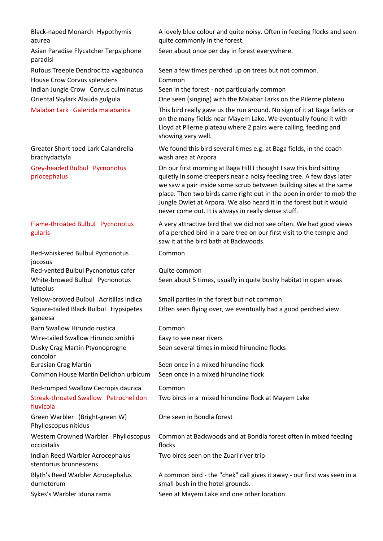Black-naped Monarch Hypothymis azurea

Asian Paradise Flycatcher Terpsiphone paradisi

House Crow Corvus splendens Common

Greater Short-toed Lark Calandrella brachydactyla

Grey-headed Bulbul Pycnonotus priocephalus

### Flame-throated Bulbul Pycnonotus gularis

Red-whiskered Bulbul Pycnonotus jocosus

Red-vented Bulbul Pycnonotus cafer Quite common White-browed Bulbul Pycnonotus luteolus

Square-tailed Black Bulbul Hypsipetes ganeesa

Barn Swallow Hirundo rustica Common

Wire-tailed Swallow Hirundo smithii Easy to see near rivers Dusky Crag Martin Ptyonoprogne

concolor

Common House Martin Delichon urbicum Seen once in a mixed hirundine flock

Red-rumped Swallow Cecropis daurica Common Streak-throated Swallow Petrochelidon fluvicola

Green Warbler (Bright-green W) Phylloscopus nitidus

Western Crowned Warbler Phylloscopus occipitalis

Indian Reed Warbler Acrocephalus stentorius brunnescens

Blyth's Reed Warbler Acrocephalus dumetorum

A lovely blue colour and quite noisy. Often in feeding flocks and seen quite commonly in the forest.

Seen about once per day in forest everywhere.

Rufous Treepie Dendrocitta vagabunda Seen a few times perched up on trees but not common.

Indian Jungle Crow Corvus culminatus Seen in the forest - not particularly common

Oriental Skylark Alauda gulgula One seen (singing) with the Malabar Larks on the Pilerne plateau

Malabar Lark Galerida malabarica This bird really gave us the run around. No sign of it at Baga fields or on the many fields near Mayem Lake. We eventually found it with Lloyd at Pilerne plateau where 2 pairs were calling, feeding and showing very well.

> We found this bird several times e.g. at Baga fields, in the coach wash area at Arpora

On our first morning at Baga Hill I thought I saw this bird sitting quietly in some creepers near a noisy feeding tree. A few days later we saw a pair inside some scrub between building sites at the same place. Then two birds came right out in the open in order to mob the Jungle Owlet at Arpora. We also heard it in the forest but it would never come out. It is always in really dense stuff.

A very attractive bird that we did not see often. We had good views of a perched bird in a bare tree on our first visit to the temple and saw it at the bird bath at Backwoods.

Common

Seen about 5 times, usually in quite bushy habitat in open areas

Yellow-browed Bulbul Acritillas indica Small parties in the forest but not common Often seen flying over, we eventually had a good perched view

Seen several times in mixed hirundine flocks

Eurasian Crag Martin Seen once in a mixed hirundine flock

Two birds in a mixed hirundine flock at Mayem Lake

One seen in Bondla forest

Common at Backwoods and at Bondla forest often in mixed feeding flocks

Two birds seen on the Zuari river trip

A common bird - the "chek" call gives it away - our first was seen in a small bush in the hotel grounds.

Sykes's Warbler Iduna rama Seen at Mayem Lake and one other location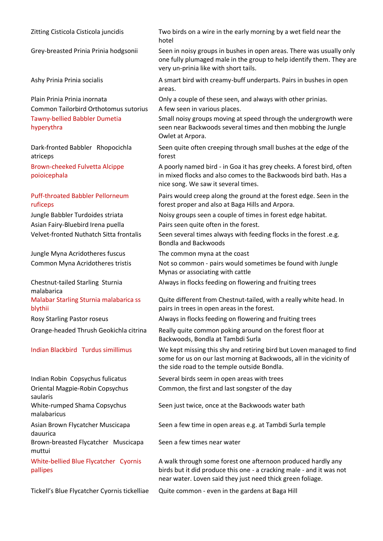| Zitting Cisticola Cisticola juncidis                                                                                        | Two birds on a wire in the early morning by a wet field near the<br>hotel                                                                                                                                                        |
|-----------------------------------------------------------------------------------------------------------------------------|----------------------------------------------------------------------------------------------------------------------------------------------------------------------------------------------------------------------------------|
| Grey-breasted Prinia Prinia hodgsonii                                                                                       | Seen in noisy groups in bushes in open areas. There was usually only<br>one fully plumaged male in the group to help identify them. They are<br>very un-prinia like with short tails.                                            |
| Ashy Prinia Prinia socialis                                                                                                 | A smart bird with creamy-buff underparts. Pairs in bushes in open<br>areas.                                                                                                                                                      |
| Plain Prinia Prinia inornata<br>Common Tailorbird Orthotomus sutorius<br><b>Tawny-bellied Babbler Dumetia</b><br>hyperythra | Only a couple of these seen, and always with other prinias.<br>A few seen in various places.<br>Small noisy groups moving at speed through the undergrowth were<br>seen near Backwoods several times and then mobbing the Jungle |
| Dark-fronted Babbler Rhopocichla                                                                                            | Owlet at Arpora.<br>Seen quite often creeping through small bushes at the edge of the                                                                                                                                            |
| atriceps<br>Brown-cheeked Fulvetta Alcippe<br>poioicephala                                                                  | forest<br>A poorly named bird - in Goa it has grey cheeks. A forest bird, often<br>in mixed flocks and also comes to the Backwoods bird bath. Has a<br>nice song. We saw it several times.                                       |
| <b>Puff-throated Babbler Pellorneum</b><br>ruficeps                                                                         | Pairs would creep along the ground at the forest edge. Seen in the<br>forest proper and also at Baga Hills and Arpora.                                                                                                           |
| Jungle Babbler Turdoides striata<br>Asian Fairy-Bluebird Irena puella<br>Velvet-fronted Nuthatch Sitta frontalis            | Noisy groups seen a couple of times in forest edge habitat.<br>Pairs seen quite often in the forest.<br>Seen several times always with feeding flocks in the forest .e.g.<br><b>Bondla and Backwoods</b>                         |
| Jungle Myna Acridotheres fuscus<br>Common Myna Acridotheres tristis                                                         | The common myna at the coast<br>Not so common - pairs would sometimes be found with Jungle<br>Mynas or associating with cattle                                                                                                   |
| Chestnut-tailed Starling Sturnia<br>malabarica                                                                              | Always in flocks feeding on flowering and fruiting trees                                                                                                                                                                         |
| Malabar Starling Sturnia malabarica ss<br>blythii                                                                           | Quite different from Chestnut-tailed, with a really white head. In<br>pairs in trees in open areas in the forest.                                                                                                                |
| <b>Rosy Starling Pastor roseus</b>                                                                                          | Always in flocks feeding on flowering and fruiting trees                                                                                                                                                                         |
| Orange-headed Thrush Geokichla citrina                                                                                      | Really quite common poking around on the forest floor at<br>Backwoods, Bondla at Tambdi Surla                                                                                                                                    |
| Indian Blackbird Turdus simillimus                                                                                          | We kept missing this shy and retiring bird but Loven managed to find<br>some for us on our last morning at Backwoods, all in the vicinity of<br>the side road to the temple outside Bondla.                                      |
| Indian Robin Copsychus fulicatus                                                                                            | Several birds seem in open areas with trees                                                                                                                                                                                      |
| Oriental Magpie-Robin Copsychus<br>saularis                                                                                 | Common, the first and last songster of the day                                                                                                                                                                                   |
| White-rumped Shama Copsychus<br>malabaricus                                                                                 | Seen just twice, once at the Backwoods water bath                                                                                                                                                                                |
| Asian Brown Flycatcher Muscicapa<br>dauurica                                                                                | Seen a few time in open areas e.g. at Tambdi Surla temple                                                                                                                                                                        |
| Brown-breasted Flycatcher Muscicapa<br>muttui                                                                               | Seen a few times near water                                                                                                                                                                                                      |
| White-bellied Blue Flycatcher Cyornis<br>pallipes                                                                           | A walk through some forest one afternoon produced hardly any<br>birds but it did produce this one - a cracking male - and it was not<br>near water. Loven said they just need thick green foliage.                               |
| Tickell's Blue Flycatcher Cyornis tickelliae                                                                                | Quite common - even in the gardens at Baga Hill                                                                                                                                                                                  |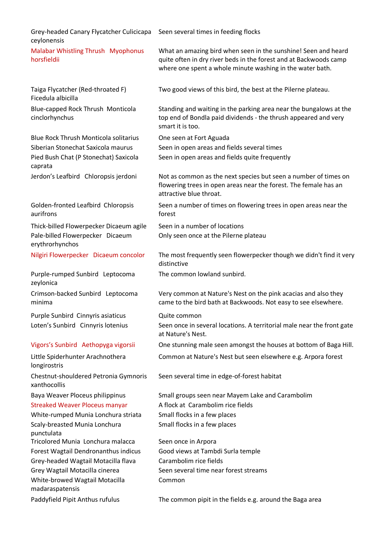| Grey-headed Canary Flycatcher Culicicapa<br>ceylonensis                                                                                                                                                 | Seen several times in feeding flocks                                                                                                                                                             |
|---------------------------------------------------------------------------------------------------------------------------------------------------------------------------------------------------------|--------------------------------------------------------------------------------------------------------------------------------------------------------------------------------------------------|
| Malabar Whistling Thrush Myophonus<br>horsfieldii                                                                                                                                                       | What an amazing bird when seen in the sunshine! Seen and heard<br>quite often in dry river beds in the forest and at Backwoods camp<br>where one spent a whole minute washing in the water bath. |
| Taiga Flycatcher (Red-throated F)<br>Ficedula albicilla                                                                                                                                                 | Two good views of this bird, the best at the Pilerne plateau.                                                                                                                                    |
| Blue-capped Rock Thrush Monticola<br>cinclorhynchus                                                                                                                                                     | Standing and waiting in the parking area near the bungalows at the<br>top end of Bondla paid dividends - the thrush appeared and very<br>smart it is too.                                        |
| <b>Blue Rock Thrush Monticola solitarius</b><br>Siberian Stonechat Saxicola maurus<br>Pied Bush Chat (P Stonechat) Saxicola<br>caprata                                                                  | One seen at Fort Aguada<br>Seen in open areas and fields several times<br>Seen in open areas and fields quite frequently                                                                         |
| Jerdon's Leafbird Chloropsis jerdoni                                                                                                                                                                    | Not as common as the next species but seen a number of times on<br>flowering trees in open areas near the forest. The female has an<br>attractive blue throat.                                   |
| Golden-fronted Leafbird Chloropsis<br>aurifrons                                                                                                                                                         | Seen a number of times on flowering trees in open areas near the<br>forest                                                                                                                       |
| Thick-billed Flowerpecker Dicaeum agile<br>Pale-billed Flowerpecker Dicaeum<br>erythrorhynchos                                                                                                          | Seen in a number of locations<br>Only seen once at the Pilerne plateau                                                                                                                           |
| Nilgiri Flowerpecker Dicaeum concolor                                                                                                                                                                   | The most frequently seen flowerpecker though we didn't find it very<br>distinctive                                                                                                               |
| Purple-rumped Sunbird Leptocoma<br>zeylonica                                                                                                                                                            | The common lowland sunbird.                                                                                                                                                                      |
| Crimson-backed Sunbird Leptocoma<br>minima                                                                                                                                                              | Very common at Nature's Nest on the pink acacias and also they<br>came to the bird bath at Backwoods. Not easy to see elsewhere.                                                                 |
| Purple Sunbird Cinnyris asiaticus<br>Loten's Sunbird Cinnyris lotenius                                                                                                                                  | Quite common<br>Seen once in several locations. A territorial male near the front gate<br>at Nature's Nest.                                                                                      |
| Vigors's Sunbird Aethopyga vigorsii                                                                                                                                                                     | One stunning male seen amongst the houses at bottom of Baga Hill.                                                                                                                                |
| Little Spiderhunter Arachnothera<br>longirostris                                                                                                                                                        | Common at Nature's Nest but seen elsewhere e.g. Arpora forest                                                                                                                                    |
| Chestnut-shouldered Petronia Gymnoris<br>xanthocollis                                                                                                                                                   | Seen several time in edge-of-forest habitat                                                                                                                                                      |
| Baya Weaver Ploceus philippinus<br><b>Streaked Weaver Ploceus manyar</b><br>White-rumped Munia Lonchura striata<br>Scaly-breasted Munia Lonchura<br>punctulata                                          | Small groups seen near Mayem Lake and Carambolim<br>A flock at Carambolim rice fields<br>Small flocks in a few places<br>Small flocks in a few places                                            |
| Tricolored Munia Lonchura malacca<br>Forest Wagtail Dendronanthus indicus<br>Grey-headed Wagtail Motacilla flava<br>Grey Wagtail Motacilla cinerea<br>White-browed Wagtail Motacilla<br>madaraspatensis | Seen once in Arpora<br>Good views at Tambdi Surla temple<br>Carambolim rice fields<br>Seen several time near forest streams<br>Common                                                            |
| Paddyfield Pipit Anthus rufulus                                                                                                                                                                         | The common pipit in the fields e.g. around the Baga area                                                                                                                                         |